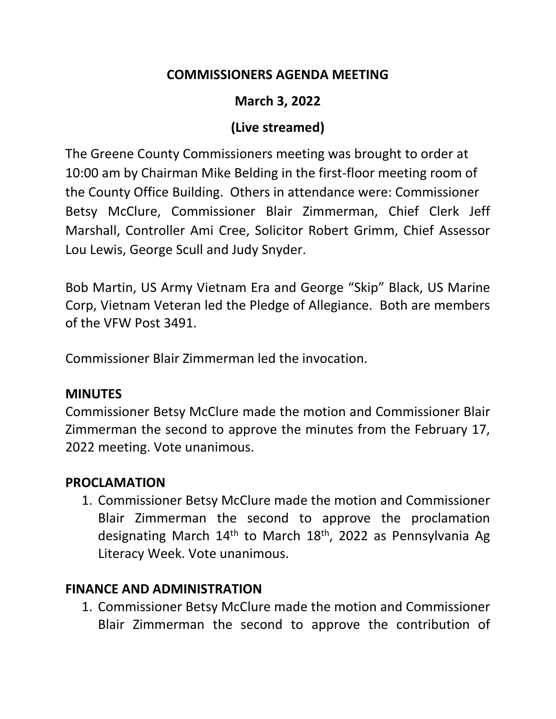## **COMMISSIONERS AGENDA MEETING**

## **March 3, 2022**

### **(Live streamed)**

The Greene County Commissioners meeting was brought to order at 10:00 am by Chairman Mike Belding in the first-floor meeting room of the County Office Building. Others in attendance were: Commissioner Betsy McClure, Commissioner Blair Zimmerman, Chief Clerk Jeff Marshall, Controller Ami Cree, Solicitor Robert Grimm, Chief Assessor Lou Lewis, George Scull and Judy Snyder.

Bob Martin, US Army Vietnam Era and George "Skip" Black, US Marine Corp, Vietnam Veteran led the Pledge of Allegiance. Both are members of the VFW Post 3491.

Commissioner Blair Zimmerman led the invocation.

### **MINUTES**

Commissioner Betsy McClure made the motion and Commissioner Blair Zimmerman the second to approve the minutes from the February 17, 2022 meeting. Vote unanimous.

### **PROCLAMATION**

1. Commissioner Betsy McClure made the motion and Commissioner Blair Zimmerman the second to approve the proclamation designating March  $14<sup>th</sup>$  to March  $18<sup>th</sup>$ , 2022 as Pennsylvania Ag Literacy Week. Vote unanimous.

### **FINANCE AND ADMINISTRATION**

1. Commissioner Betsy McClure made the motion and Commissioner Blair Zimmerman the second to approve the contribution of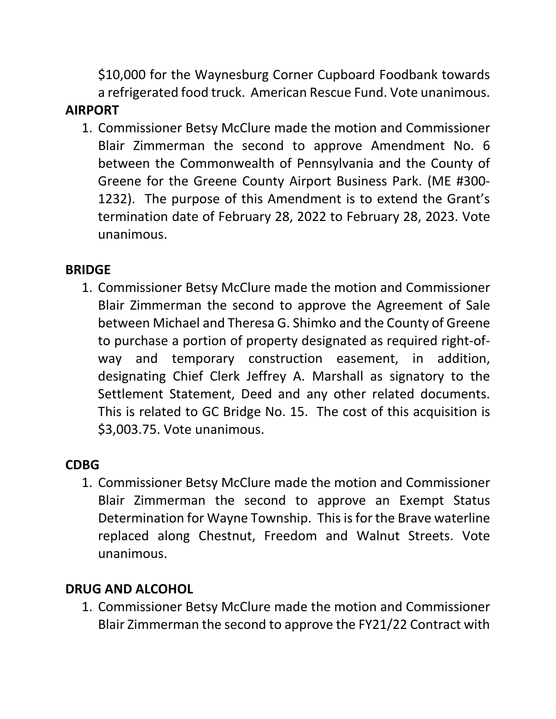\$10,000 for the Waynesburg Corner Cupboard Foodbank towards a refrigerated food truck. American Rescue Fund. Vote unanimous.

## **AIRPORT**

1. Commissioner Betsy McClure made the motion and Commissioner Blair Zimmerman the second to approve Amendment No. 6 between the Commonwealth of Pennsylvania and the County of Greene for the Greene County Airport Business Park. (ME #300- 1232). The purpose of this Amendment is to extend the Grant's termination date of February 28, 2022 to February 28, 2023. Vote unanimous.

# **BRIDGE**

1. Commissioner Betsy McClure made the motion and Commissioner Blair Zimmerman the second to approve the Agreement of Sale between Michael and Theresa G. Shimko and the County of Greene to purchase a portion of property designated as required right-ofway and temporary construction easement, in addition, designating Chief Clerk Jeffrey A. Marshall as signatory to the Settlement Statement, Deed and any other related documents. This is related to GC Bridge No. 15. The cost of this acquisition is \$3,003.75. Vote unanimous.

# **CDBG**

1. Commissioner Betsy McClure made the motion and Commissioner Blair Zimmerman the second to approve an Exempt Status Determination for Wayne Township. This is for the Brave waterline replaced along Chestnut, Freedom and Walnut Streets. Vote unanimous.

# **DRUG AND ALCOHOL**

1. Commissioner Betsy McClure made the motion and Commissioner Blair Zimmerman the second to approve the FY21/22 Contract with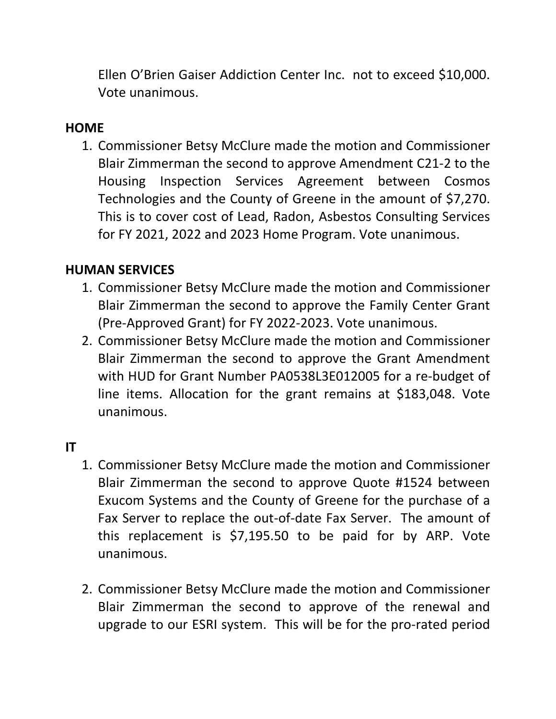Ellen O'Brien Gaiser Addiction Center Inc. not to exceed \$10,000. Vote unanimous.

### **HOME**

1. Commissioner Betsy McClure made the motion and Commissioner Blair Zimmerman the second to approve Amendment C21-2 to the Housing Inspection Services Agreement between Cosmos Technologies and the County of Greene in the amount of \$7,270. This is to cover cost of Lead, Radon, Asbestos Consulting Services for FY 2021, 2022 and 2023 Home Program. Vote unanimous.

### **HUMAN SERVICES**

- 1. Commissioner Betsy McClure made the motion and Commissioner Blair Zimmerman the second to approve the Family Center Grant (Pre-Approved Grant) for FY 2022-2023. Vote unanimous.
- 2. Commissioner Betsy McClure made the motion and Commissioner Blair Zimmerman the second to approve the Grant Amendment with HUD for Grant Number PA0538L3E012005 for a re-budget of line items. Allocation for the grant remains at \$183,048. Vote unanimous.

### **IT**

- 1. Commissioner Betsy McClure made the motion and Commissioner Blair Zimmerman the second to approve Quote #1524 between Exucom Systems and the County of Greene for the purchase of a Fax Server to replace the out-of-date Fax Server. The amount of this replacement is \$7,195.50 to be paid for by ARP. Vote unanimous.
- 2. Commissioner Betsy McClure made the motion and Commissioner Blair Zimmerman the second to approve of the renewal and upgrade to our ESRI system. This will be for the pro-rated period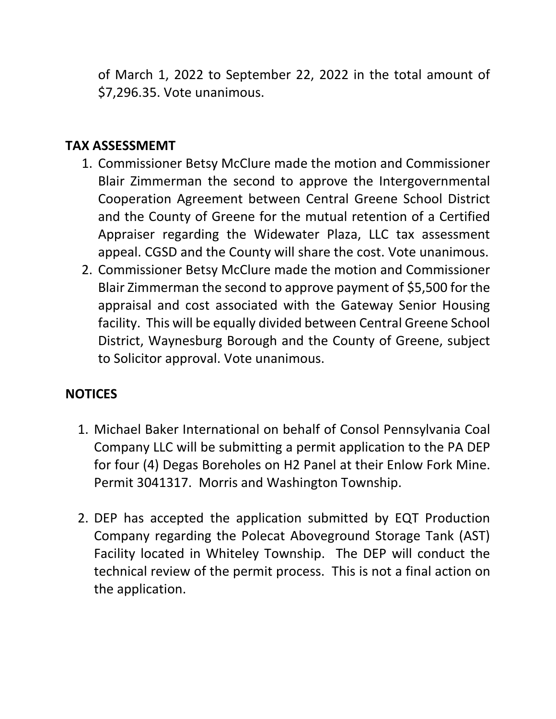of March 1, 2022 to September 22, 2022 in the total amount of \$7,296.35. Vote unanimous.

## **TAX ASSESSMEMT**

- 1. Commissioner Betsy McClure made the motion and Commissioner Blair Zimmerman the second to approve the Intergovernmental Cooperation Agreement between Central Greene School District and the County of Greene for the mutual retention of a Certified Appraiser regarding the Widewater Plaza, LLC tax assessment appeal. CGSD and the County will share the cost. Vote unanimous.
- 2. Commissioner Betsy McClure made the motion and Commissioner Blair Zimmerman the second to approve payment of \$5,500 for the appraisal and cost associated with the Gateway Senior Housing facility. This will be equally divided between Central Greene School District, Waynesburg Borough and the County of Greene, subject to Solicitor approval. Vote unanimous.

### **NOTICES**

- 1. Michael Baker International on behalf of Consol Pennsylvania Coal Company LLC will be submitting a permit application to the PA DEP for four (4) Degas Boreholes on H2 Panel at their Enlow Fork Mine. Permit 3041317. Morris and Washington Township.
- 2. DEP has accepted the application submitted by EQT Production Company regarding the Polecat Aboveground Storage Tank (AST) Facility located in Whiteley Township. The DEP will conduct the technical review of the permit process. This is not a final action on the application.